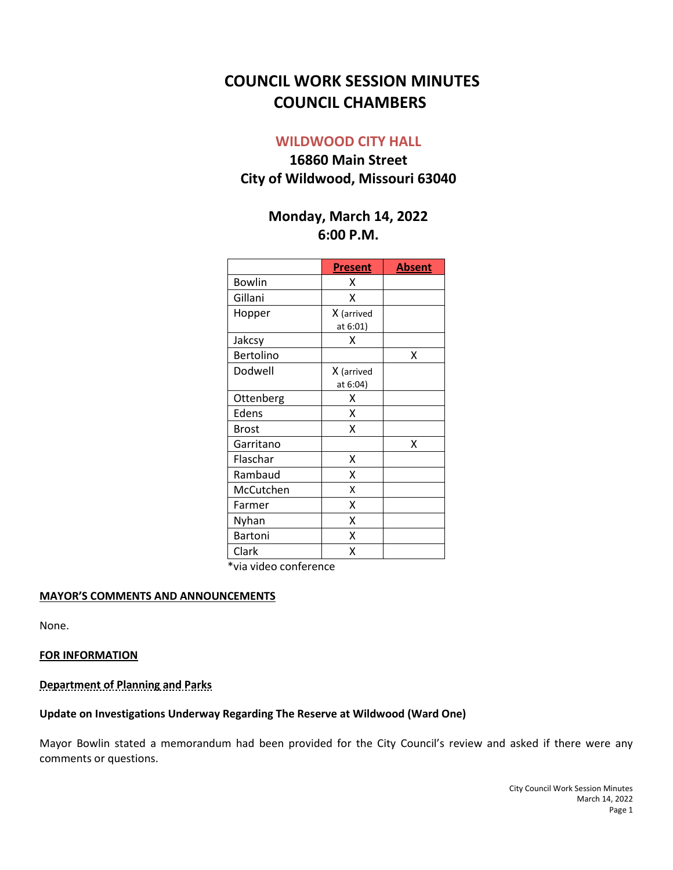# **COUNCIL WORK SESSION MINUTES COUNCIL CHAMBERS**

## **WILDWOOD CITY HALL**

## **16860 Main Street City of Wildwood, Missouri 63040**

## **Monday, March 14, 2022 6:00 P.M.**

|               | <b>Present</b>         | <b>Absent</b> |
|---------------|------------------------|---------------|
| <b>Bowlin</b> | x                      |               |
| Gillani       | x                      |               |
| Hopper        | X (arrived<br>at 6:01) |               |
| Jakcsy        | x                      |               |
| Bertolino     |                        | X             |
| Dodwell       | X (arrived<br>at 6:04) |               |
| Ottenberg     | Χ                      |               |
| Edens         | Χ                      |               |
| <b>Brost</b>  | Χ                      |               |
| Garritano     |                        | Χ             |
| Flaschar      | Χ                      |               |
| Rambaud       | x                      |               |
| McCutchen     | X                      |               |
| Farmer        | x                      |               |
| Nyhan         | x                      |               |
| Bartoni       | x                      |               |
| Clark         | Χ                      |               |

\*via video conference

#### **MAYOR'S COMMENTS AND ANNOUNCEMENTS**

None.

#### **FOR INFORMATION**

**Department of Planning and Parks**

### **Update on Investigations Underway Regarding The Reserve at Wildwood (Ward One)**

Mayor Bowlin stated a memorandum had been provided for the City Council's review and asked if there were any comments or questions.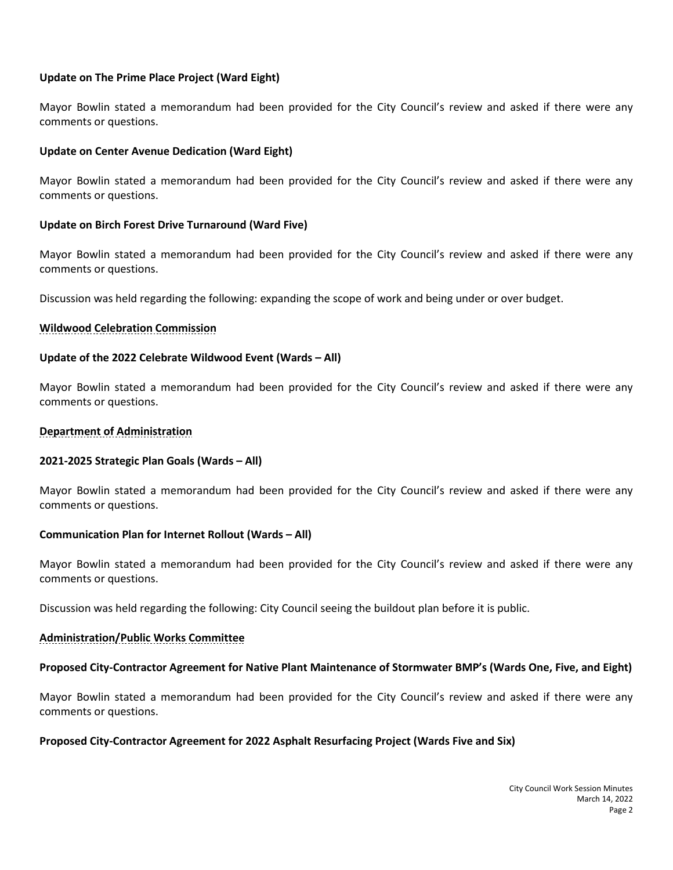#### **Update on The Prime Place Project (Ward Eight)**

Mayor Bowlin stated a memorandum had been provided for the City Council's review and asked if there were any comments or questions.

#### **Update on Center Avenue Dedication (Ward Eight)**

Mayor Bowlin stated a memorandum had been provided for the City Council's review and asked if there were any comments or questions.

#### **Update on Birch Forest Drive Turnaround (Ward Five)**

Mayor Bowlin stated a memorandum had been provided for the City Council's review and asked if there were any comments or questions.

Discussion was held regarding the following: expanding the scope of work and being under or over budget.

#### **Wildwood Celebration Commission**

#### **Update of the 2022 Celebrate Wildwood Event (Wards – All)**

Mayor Bowlin stated a memorandum had been provided for the City Council's review and asked if there were any comments or questions.

#### **Department of Administration**

#### **2021-2025 Strategic Plan Goals (Wards – All)**

Mayor Bowlin stated a memorandum had been provided for the City Council's review and asked if there were any comments or questions.

#### **Communication Plan for Internet Rollout (Wards – All)**

Mayor Bowlin stated a memorandum had been provided for the City Council's review and asked if there were any comments or questions.

Discussion was held regarding the following: City Council seeing the buildout plan before it is public.

#### **Administration/Public Works Committee**

#### **Proposed City-Contractor Agreement for Native Plant Maintenance of Stormwater BMP's (Wards One, Five, and Eight)**

Mayor Bowlin stated a memorandum had been provided for the City Council's review and asked if there were any comments or questions.

#### **Proposed City-Contractor Agreement for 2022 Asphalt Resurfacing Project (Wards Five and Six)**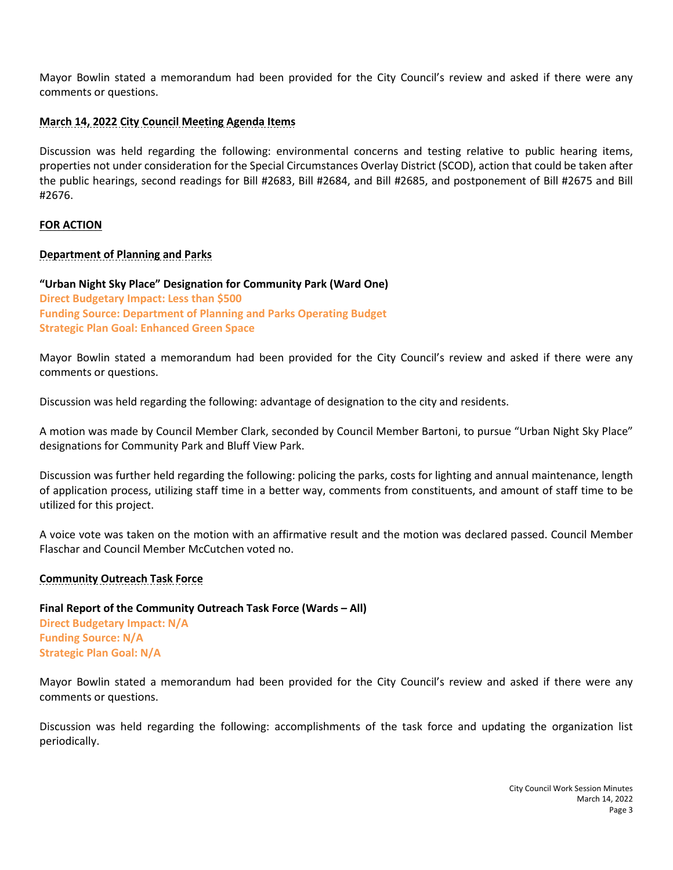Mayor Bowlin stated a memorandum had been provided for the City Council's review and asked if there were any comments or questions.

## **March 14, 2022 City Council Meeting Agenda Items**

Discussion was held regarding the following: environmental concerns and testing relative to public hearing items, properties not under consideration for the Special Circumstances Overlay District (SCOD), action that could be taken after the public hearings, second readings for Bill #2683, Bill #2684, and Bill #2685, and postponement of Bill #2675 and Bill #2676.

### **FOR ACTION**

### **Department of Planning and Parks**

**"Urban Night Sky Place" Designation for Community Park (Ward One) Direct Budgetary Impact: Less than \$500 Funding Source: Department of Planning and Parks Operating Budget Strategic Plan Goal: Enhanced Green Space**

Mayor Bowlin stated a memorandum had been provided for the City Council's review and asked if there were any comments or questions.

Discussion was held regarding the following: advantage of designation to the city and residents.

A motion was made by Council Member Clark, seconded by Council Member Bartoni, to pursue "Urban Night Sky Place" designations for Community Park and Bluff View Park.

Discussion was further held regarding the following: policing the parks, costs for lighting and annual maintenance, length of application process, utilizing staff time in a better way, comments from constituents, and amount of staff time to be utilized for this project.

A voice vote was taken on the motion with an affirmative result and the motion was declared passed. Council Member Flaschar and Council Member McCutchen voted no.

#### **Community Outreach Task Force**

**Final Report of the Community Outreach Task Force (Wards – All) Direct Budgetary Impact: N/A Funding Source: N/A Strategic Plan Goal: N/A**

Mayor Bowlin stated a memorandum had been provided for the City Council's review and asked if there were any comments or questions.

Discussion was held regarding the following: accomplishments of the task force and updating the organization list periodically.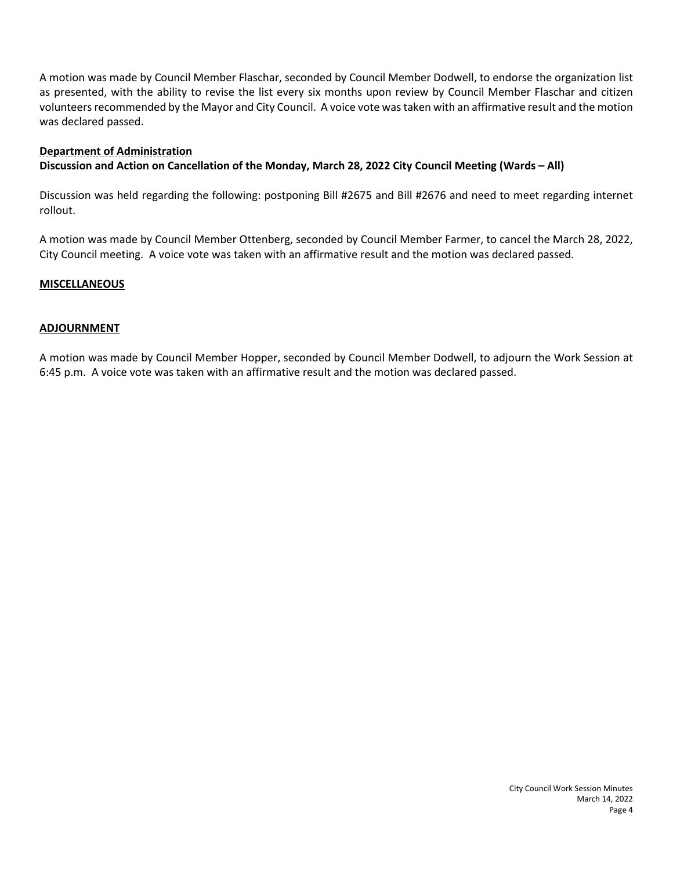A motion was made by Council Member Flaschar, seconded by Council Member Dodwell, to endorse the organization list as presented, with the ability to revise the list every six months upon review by Council Member Flaschar and citizen volunteers recommended by the Mayor and City Council. A voice vote was taken with an affirmative result and the motion was declared passed.

### **Department of Administration**

## **Discussion and Action on Cancellation of the Monday, March 28, 2022 City Council Meeting (Wards – All)**

Discussion was held regarding the following: postponing Bill #2675 and Bill #2676 and need to meet regarding internet rollout.

A motion was made by Council Member Ottenberg, seconded by Council Member Farmer, to cancel the March 28, 2022, City Council meeting. A voice vote was taken with an affirmative result and the motion was declared passed.

#### **MISCELLANEOUS**

#### **ADJOURNMENT**

A motion was made by Council Member Hopper, seconded by Council Member Dodwell, to adjourn the Work Session at 6:45 p.m. A voice vote was taken with an affirmative result and the motion was declared passed.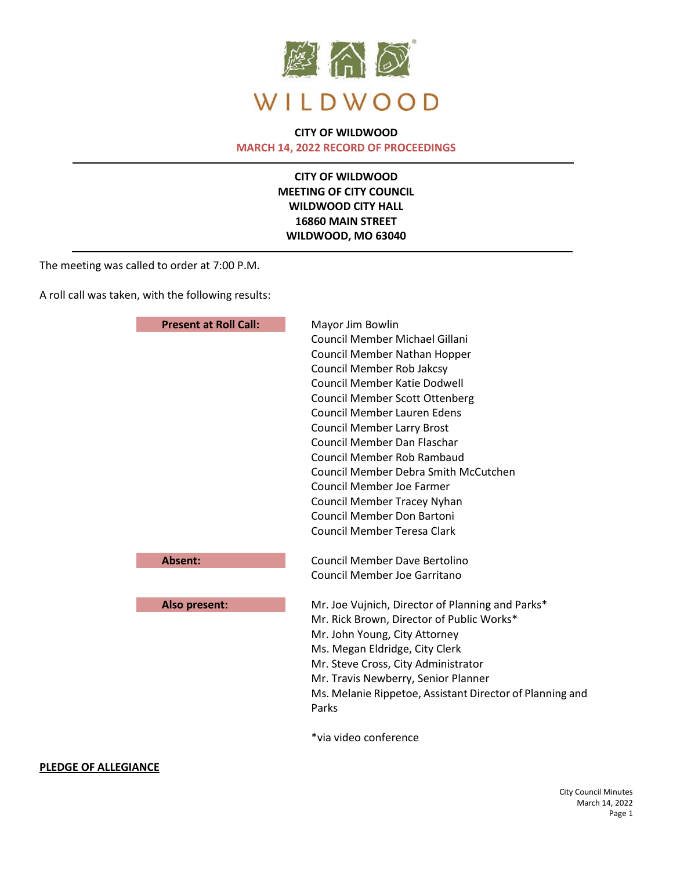

### **CITY OF WILDWOOD MARCH 14, 2022 RECORD OF PROCEEDINGS**

**CITY OF WILDWOOD MEETING OF CITY COUNCIL WILDWOOD CITY HALL 16860 MAIN STREET WILDWOOD, MO 63040**

The meeting was called to order at 7:00 P.M.

A roll call was taken, with the following results:

| <b>Present at Roll Call:</b> | Mayor Jim Bowlin<br>Council Member Michael Gillani<br><b>Council Member Nathan Hopper</b><br><b>Council Member Rob Jakcsy</b><br><b>Council Member Katie Dodwell</b><br><b>Council Member Scott Ottenberg</b><br><b>Council Member Lauren Edens</b><br><b>Council Member Larry Brost</b><br>Council Member Dan Flaschar<br><b>Council Member Rob Rambaud</b><br><b>Council Member Debra Smith McCutchen</b><br>Council Member Joe Farmer<br><b>Council Member Tracey Nyhan</b><br><b>Council Member Don Bartoni</b><br><b>Council Member Teresa Clark</b> |
|------------------------------|-----------------------------------------------------------------------------------------------------------------------------------------------------------------------------------------------------------------------------------------------------------------------------------------------------------------------------------------------------------------------------------------------------------------------------------------------------------------------------------------------------------------------------------------------------------|
| Absent:                      | <b>Council Member Dave Bertolino</b>                                                                                                                                                                                                                                                                                                                                                                                                                                                                                                                      |
|                              | <b>Council Member Joe Garritano</b>                                                                                                                                                                                                                                                                                                                                                                                                                                                                                                                       |
| Also present:                | Mr. Joe Vujnich, Director of Planning and Parks*<br>Mr. Rick Brown, Director of Public Works*<br>Mr. John Young, City Attorney<br>Ms. Megan Eldridge, City Clerk<br>Mr. Steve Cross, City Administrator<br>Mr. Travis Newberry, Senior Planner<br>Ms. Melanie Rippetoe, Assistant Director of Planning and<br>Parks                                                                                                                                                                                                                                       |
|                              | *via video conference                                                                                                                                                                                                                                                                                                                                                                                                                                                                                                                                     |

#### **PLEDGE OF ALLEGIANCE**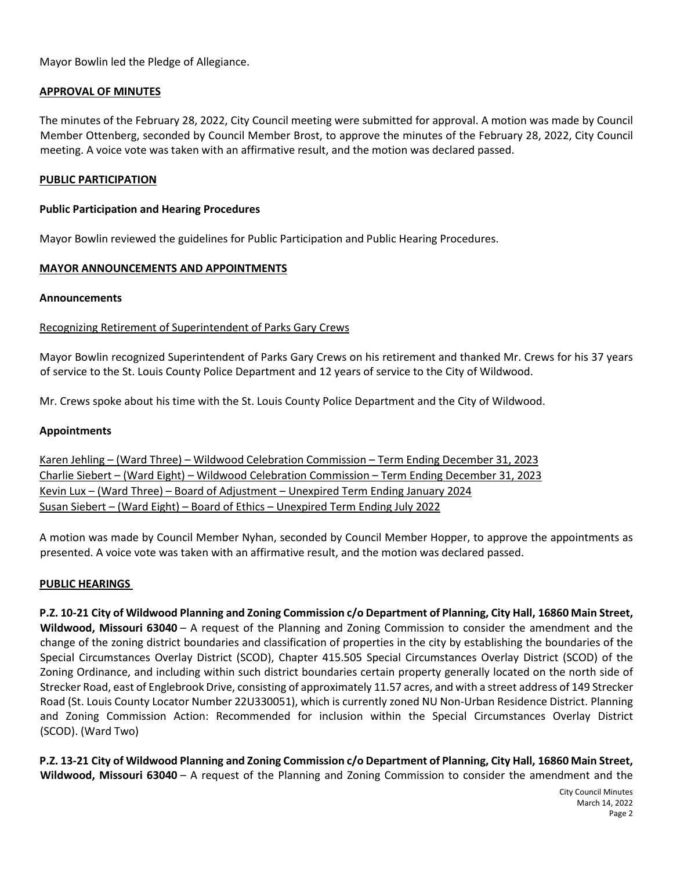Mayor Bowlin led the Pledge of Allegiance.

#### **APPROVAL OF MINUTES**

The minutes of the February 28, 2022, City Council meeting were submitted for approval. A motion was made by Council Member Ottenberg, seconded by Council Member Brost, to approve the minutes of the February 28, 2022, City Council meeting. A voice vote was taken with an affirmative result, and the motion was declared passed.

#### **PUBLIC PARTICIPATION**

#### **Public Participation and Hearing Procedures**

Mayor Bowlin reviewed the guidelines for Public Participation and Public Hearing Procedures.

#### **MAYOR ANNOUNCEMENTS AND APPOINTMENTS**

#### **Announcements**

#### Recognizing Retirement of Superintendent of Parks Gary Crews

Mayor Bowlin recognized Superintendent of Parks Gary Crews on his retirement and thanked Mr. Crews for his 37 years of service to the St. Louis County Police Department and 12 years of service to the City of Wildwood.

Mr. Crews spoke about his time with the St. Louis County Police Department and the City of Wildwood.

#### **Appointments**

Karen Jehling – (Ward Three) – Wildwood Celebration Commission – Term Ending December 31, 2023 Charlie Siebert – (Ward Eight) – Wildwood Celebration Commission – Term Ending December 31, 2023 Kevin Lux – (Ward Three) – Board of Adjustment – Unexpired Term Ending January 2024 Susan Siebert – (Ward Eight) – Board of Ethics – Unexpired Term Ending July 2022

A motion was made by Council Member Nyhan, seconded by Council Member Hopper, to approve the appointments as presented. A voice vote was taken with an affirmative result, and the motion was declared passed.

#### **PUBLIC HEARINGS**

**P.Z. 10-21 City of Wildwood Planning and Zoning Commission c/o Department of Planning, City Hall, 16860 Main Street, Wildwood, Missouri 63040** – A request of the Planning and Zoning Commission to consider the amendment and the change of the zoning district boundaries and classification of properties in the city by establishing the boundaries of the Special Circumstances Overlay District (SCOD), Chapter 415.505 Special Circumstances Overlay District (SCOD) of the Zoning Ordinance, and including within such district boundaries certain property generally located on the north side of Strecker Road, east of Englebrook Drive, consisting of approximately 11.57 acres, and with a street address of 149 Strecker Road (St. Louis County Locator Number 22U330051), which is currently zoned NU Non-Urban Residence District. Planning and Zoning Commission Action: Recommended for inclusion within the Special Circumstances Overlay District (SCOD). (Ward Two)

**P.Z. 13-21 City of Wildwood Planning and Zoning Commission c/o Department of Planning, City Hall, 16860 Main Street, Wildwood, Missouri 63040** – A request of the Planning and Zoning Commission to consider the amendment and the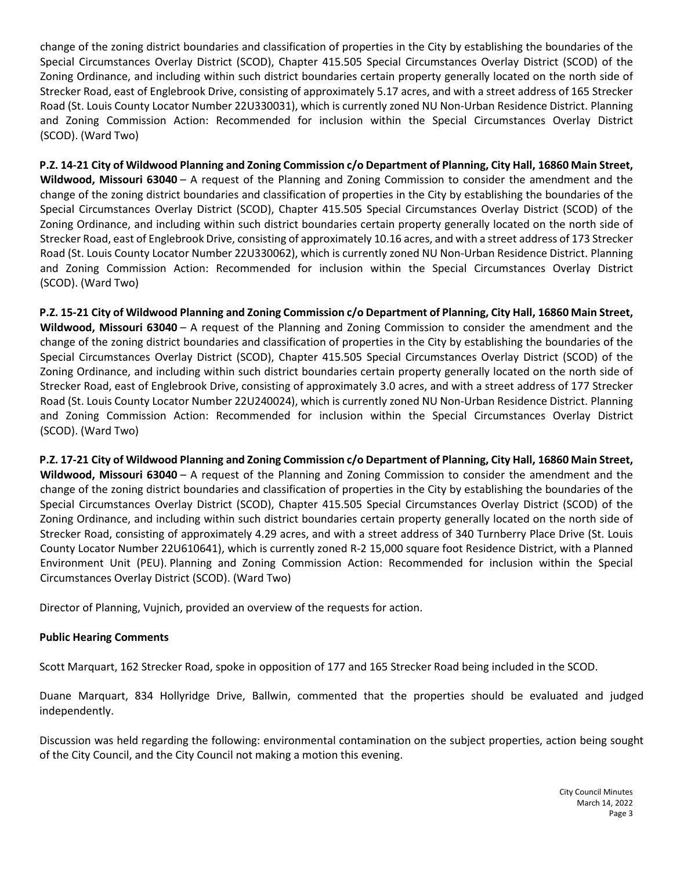change of the zoning district boundaries and classification of properties in the City by establishing the boundaries of the Special Circumstances Overlay District (SCOD), Chapter 415.505 Special Circumstances Overlay District (SCOD) of the Zoning Ordinance, and including within such district boundaries certain property generally located on the north side of Strecker Road, east of Englebrook Drive, consisting of approximately 5.17 acres, and with a street address of 165 Strecker Road (St. Louis County Locator Number 22U330031), which is currently zoned NU Non-Urban Residence District. Planning and Zoning Commission Action: Recommended for inclusion within the Special Circumstances Overlay District (SCOD). (Ward Two)

**P.Z. 14-21 City of Wildwood Planning and Zoning Commission c/o Department of Planning, City Hall, 16860 Main Street, Wildwood, Missouri 63040** – A request of the Planning and Zoning Commission to consider the amendment and the change of the zoning district boundaries and classification of properties in the City by establishing the boundaries of the Special Circumstances Overlay District (SCOD), Chapter 415.505 Special Circumstances Overlay District (SCOD) of the Zoning Ordinance, and including within such district boundaries certain property generally located on the north side of Strecker Road, east of Englebrook Drive, consisting of approximately 10.16 acres, and with a street address of 173 Strecker Road (St. Louis County Locator Number 22U330062), which is currently zoned NU Non-Urban Residence District. Planning and Zoning Commission Action: Recommended for inclusion within the Special Circumstances Overlay District (SCOD). (Ward Two)

**P.Z. 15-21 City of Wildwood Planning and Zoning Commission c/o Department of Planning, City Hall, 16860 Main Street, Wildwood, Missouri 63040** – A request of the Planning and Zoning Commission to consider the amendment and the change of the zoning district boundaries and classification of properties in the City by establishing the boundaries of the Special Circumstances Overlay District (SCOD), Chapter 415.505 Special Circumstances Overlay District (SCOD) of the Zoning Ordinance, and including within such district boundaries certain property generally located on the north side of Strecker Road, east of Englebrook Drive, consisting of approximately 3.0 acres, and with a street address of 177 Strecker Road (St. Louis County Locator Number 22U240024), which is currently zoned NU Non-Urban Residence District. Planning and Zoning Commission Action: Recommended for inclusion within the Special Circumstances Overlay District (SCOD). (Ward Two)

**P.Z. 17-21 City of Wildwood Planning and Zoning Commission c/o Department of Planning, City Hall, 16860 Main Street, Wildwood, Missouri 63040** – A request of the Planning and Zoning Commission to consider the amendment and the change of the zoning district boundaries and classification of properties in the City by establishing the boundaries of the Special Circumstances Overlay District (SCOD), Chapter 415.505 Special Circumstances Overlay District (SCOD) of the Zoning Ordinance, and including within such district boundaries certain property generally located on the north side of Strecker Road, consisting of approximately 4.29 acres, and with a street address of 340 Turnberry Place Drive (St. Louis County Locator Number 22U610641), which is currently zoned R-2 15,000 square foot Residence District, with a Planned Environment Unit (PEU). Planning and Zoning Commission Action: Recommended for inclusion within the Special Circumstances Overlay District (SCOD). (Ward Two)

Director of Planning, Vujnich, provided an overview of the requests for action.

## **Public Hearing Comments**

Scott Marquart, 162 Strecker Road, spoke in opposition of 177 and 165 Strecker Road being included in the SCOD.

Duane Marquart, 834 Hollyridge Drive, Ballwin, commented that the properties should be evaluated and judged independently.

Discussion was held regarding the following: environmental contamination on the subject properties, action being sought of the City Council, and the City Council not making a motion this evening.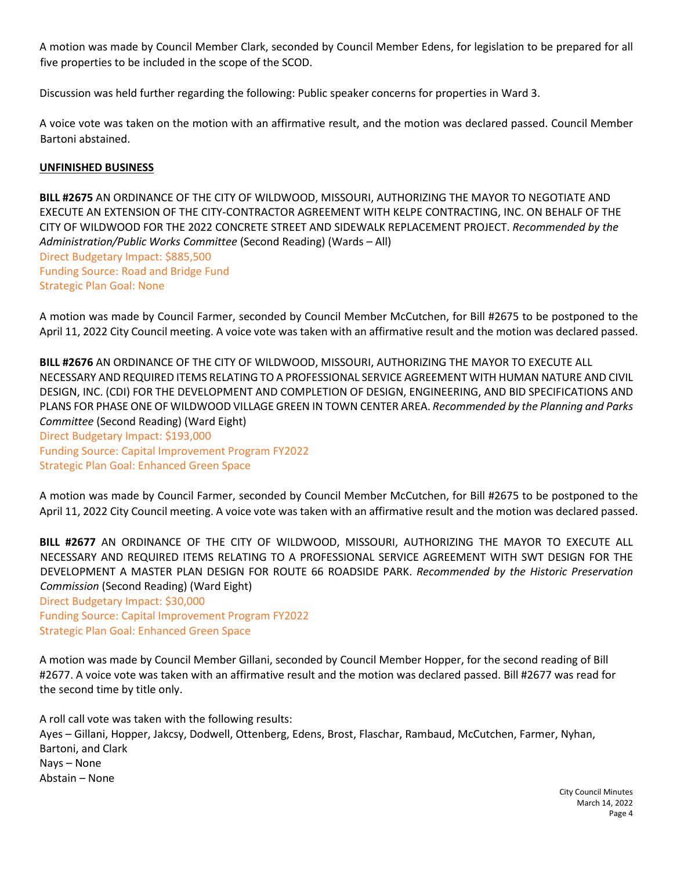A motion was made by Council Member Clark, seconded by Council Member Edens, for legislation to be prepared for all five properties to be included in the scope of the SCOD.

Discussion was held further regarding the following: Public speaker concerns for properties in Ward 3.

A voice vote was taken on the motion with an affirmative result, and the motion was declared passed. Council Member Bartoni abstained.

#### **UNFINISHED BUSINESS**

**BILL #2675** AN ORDINANCE OF THE CITY OF WILDWOOD, MISSOURI, AUTHORIZING THE MAYOR TO NEGOTIATE AND EXECUTE AN EXTENSION OF THE CITY-CONTRACTOR AGREEMENT WITH KELPE CONTRACTING, INC. ON BEHALF OF THE CITY OF WILDWOOD FOR THE 2022 CONCRETE STREET AND SIDEWALK REPLACEMENT PROJECT. *Recommended by the Administration/Public Works Committee* (Second Reading) (Wards – All) Direct Budgetary Impact: \$885,500 Funding Source: Road and Bridge Fund Strategic Plan Goal: None

A motion was made by Council Farmer, seconded by Council Member McCutchen, for Bill #2675 to be postponed to the April 11, 2022 City Council meeting. A voice vote was taken with an affirmative result and the motion was declared passed.

**BILL #2676** AN ORDINANCE OF THE CITY OF WILDWOOD, MISSOURI, AUTHORIZING THE MAYOR TO EXECUTE ALL NECESSARY AND REQUIRED ITEMS RELATING TO A PROFESSIONAL SERVICE AGREEMENT WITH HUMAN NATURE AND CIVIL DESIGN, INC. (CDI) FOR THE DEVELOPMENT AND COMPLETION OF DESIGN, ENGINEERING, AND BID SPECIFICATIONS AND PLANS FOR PHASE ONE OF WILDWOOD VILLAGE GREEN IN TOWN CENTER AREA. *Recommended by the Planning and Parks Committee* (Second Reading) (Ward Eight) Direct Budgetary Impact: \$193,000 Funding Source: Capital Improvement Program FY2022

Strategic Plan Goal: Enhanced Green Space

A motion was made by Council Farmer, seconded by Council Member McCutchen, for Bill #2675 to be postponed to the April 11, 2022 City Council meeting. A voice vote was taken with an affirmative result and the motion was declared passed.

**BILL #2677** AN ORDINANCE OF THE CITY OF WILDWOOD, MISSOURI, AUTHORIZING THE MAYOR TO EXECUTE ALL NECESSARY AND REQUIRED ITEMS RELATING TO A PROFESSIONAL SERVICE AGREEMENT WITH SWT DESIGN FOR THE DEVELOPMENT A MASTER PLAN DESIGN FOR ROUTE 66 ROADSIDE PARK. *Recommended by the Historic Preservation Commission* (Second Reading) (Ward Eight)

Direct Budgetary Impact: \$30,000 Funding Source: Capital Improvement Program FY2022 Strategic Plan Goal: Enhanced Green Space

A motion was made by Council Member Gillani, seconded by Council Member Hopper, for the second reading of Bill #2677. A voice vote was taken with an affirmative result and the motion was declared passed. Bill #2677 was read for the second time by title only.

A roll call vote was taken with the following results: Ayes – Gillani, Hopper, Jakcsy, Dodwell, Ottenberg, Edens, Brost, Flaschar, Rambaud, McCutchen, Farmer, Nyhan, Bartoni, and Clark Nays – None Abstain – None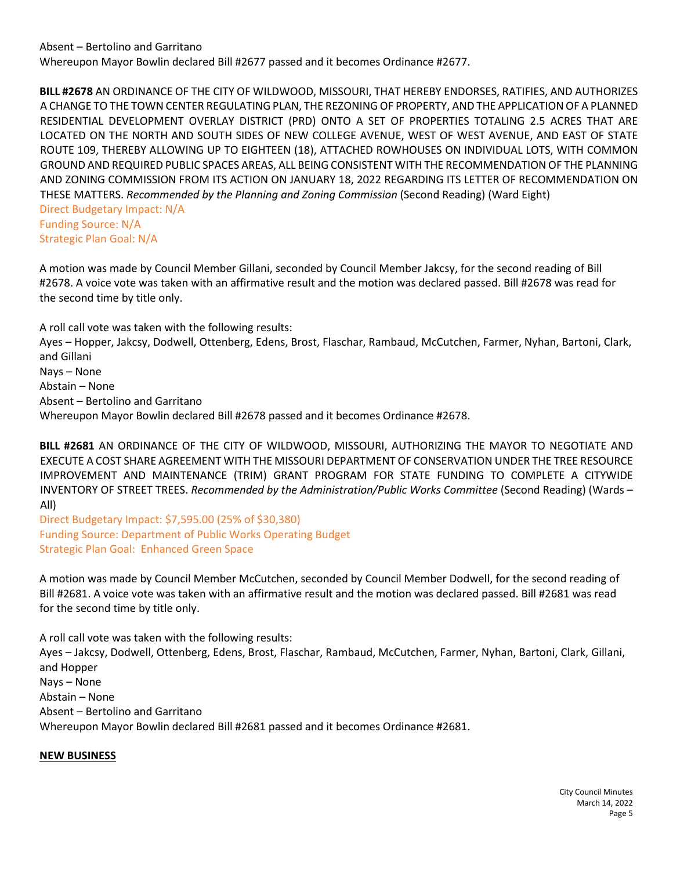**BILL #2678** AN ORDINANCE OF THE CITY OF WILDWOOD, MISSOURI, THAT HEREBY ENDORSES, RATIFIES, AND AUTHORIZES A CHANGE TO THE TOWN CENTER REGULATING PLAN, THE REZONING OF PROPERTY, AND THE APPLICATION OF A PLANNED RESIDENTIAL DEVELOPMENT OVERLAY DISTRICT (PRD) ONTO A SET OF PROPERTIES TOTALING 2.5 ACRES THAT ARE LOCATED ON THE NORTH AND SOUTH SIDES OF NEW COLLEGE AVENUE, WEST OF WEST AVENUE, AND EAST OF STATE ROUTE 109, THEREBY ALLOWING UP TO EIGHTEEN (18), ATTACHED ROWHOUSES ON INDIVIDUAL LOTS, WITH COMMON GROUND AND REQUIRED PUBLIC SPACES AREAS, ALL BEING CONSISTENT WITH THE RECOMMENDATION OF THE PLANNING AND ZONING COMMISSION FROM ITS ACTION ON JANUARY 18, 2022 REGARDING ITS LETTER OF RECOMMENDATION ON THESE MATTERS. *Recommended by the Planning and Zoning Commission* (Second Reading) (Ward Eight) Direct Budgetary Impact: N/A

Funding Source: N/A Strategic Plan Goal: N/A

A motion was made by Council Member Gillani, seconded by Council Member Jakcsy, for the second reading of Bill #2678. A voice vote was taken with an affirmative result and the motion was declared passed. Bill #2678 was read for the second time by title only.

A roll call vote was taken with the following results: Ayes – Hopper, Jakcsy, Dodwell, Ottenberg, Edens, Brost, Flaschar, Rambaud, McCutchen, Farmer, Nyhan, Bartoni, Clark, and Gillani Nays – None Abstain – None Absent – Bertolino and Garritano Whereupon Mayor Bowlin declared Bill #2678 passed and it becomes Ordinance #2678.

**BILL #2681** AN ORDINANCE OF THE CITY OF WILDWOOD, MISSOURI, AUTHORIZING THE MAYOR TO NEGOTIATE AND EXECUTE A COST SHARE AGREEMENT WITH THE MISSOURI DEPARTMENT OF CONSERVATION UNDER THE TREE RESOURCE IMPROVEMENT AND MAINTENANCE (TRIM) GRANT PROGRAM FOR STATE FUNDING TO COMPLETE A CITYWIDE INVENTORY OF STREET TREES. *Recommended by the Administration/Public Works Committee* (Second Reading) (Wards – All)

Direct Budgetary Impact: \$7,595.00 (25% of \$30,380) Funding Source: Department of Public Works Operating Budget Strategic Plan Goal: Enhanced Green Space

A motion was made by Council Member McCutchen, seconded by Council Member Dodwell, for the second reading of Bill #2681. A voice vote was taken with an affirmative result and the motion was declared passed. Bill #2681 was read for the second time by title only.

A roll call vote was taken with the following results:

Ayes – Jakcsy, Dodwell, Ottenberg, Edens, Brost, Flaschar, Rambaud, McCutchen, Farmer, Nyhan, Bartoni, Clark, Gillani, and Hopper Nays – None Abstain – None Absent – Bertolino and Garritano

Whereupon Mayor Bowlin declared Bill #2681 passed and it becomes Ordinance #2681.

## **NEW BUSINESS**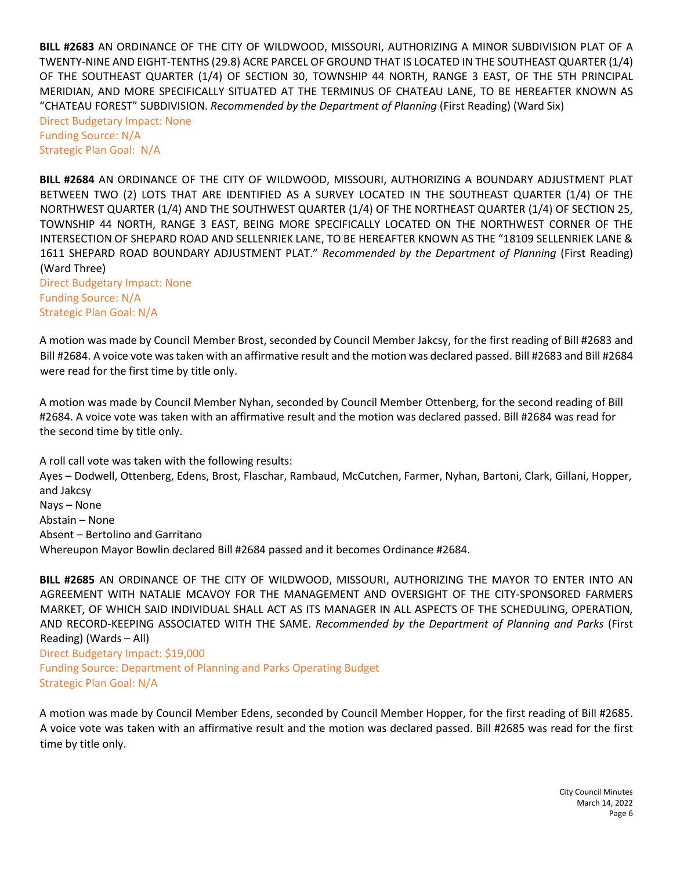**BILL #2683** AN ORDINANCE OF THE CITY OF WILDWOOD, MISSOURI, AUTHORIZING A MINOR SUBDIVISION PLAT OF A TWENTY-NINE AND EIGHT-TENTHS (29.8) ACRE PARCEL OF GROUND THAT IS LOCATED IN THE SOUTHEAST QUARTER (1/4) OF THE SOUTHEAST QUARTER (1/4) OF SECTION 30, TOWNSHIP 44 NORTH, RANGE 3 EAST, OF THE 5TH PRINCIPAL MERIDIAN, AND MORE SPECIFICALLY SITUATED AT THE TERMINUS OF CHATEAU LANE, TO BE HEREAFTER KNOWN AS "CHATEAU FOREST" SUBDIVISION. *Recommended by the Department of Planning* (First Reading) (Ward Six) Direct Budgetary Impact: None

Funding Source: N/A Strategic Plan Goal: N/A

**BILL #2684** AN ORDINANCE OF THE CITY OF WILDWOOD, MISSOURI, AUTHORIZING A BOUNDARY ADJUSTMENT PLAT BETWEEN TWO (2) LOTS THAT ARE IDENTIFIED AS A SURVEY LOCATED IN THE SOUTHEAST QUARTER (1/4) OF THE NORTHWEST QUARTER (1/4) AND THE SOUTHWEST QUARTER (1/4) OF THE NORTHEAST QUARTER (1/4) OF SECTION 25, TOWNSHIP 44 NORTH, RANGE 3 EAST, BEING MORE SPECIFICALLY LOCATED ON THE NORTHWEST CORNER OF THE INTERSECTION OF SHEPARD ROAD AND SELLENRIEK LANE, TO BE HEREAFTER KNOWN AS THE "18109 SELLENRIEK LANE & 1611 SHEPARD ROAD BOUNDARY ADJUSTMENT PLAT." *Recommended by the Department of Planning* (First Reading) (Ward Three)

Direct Budgetary Impact: None Funding Source: N/A Strategic Plan Goal: N/A

A motion was made by Council Member Brost, seconded by Council Member Jakcsy, for the first reading of Bill #2683 and Bill #2684. A voice vote was taken with an affirmative result and the motion was declared passed. Bill #2683 and Bill #2684 were read for the first time by title only.

A motion was made by Council Member Nyhan, seconded by Council Member Ottenberg, for the second reading of Bill #2684. A voice vote was taken with an affirmative result and the motion was declared passed. Bill #2684 was read for the second time by title only.

A roll call vote was taken with the following results: Ayes – Dodwell, Ottenberg, Edens, Brost, Flaschar, Rambaud, McCutchen, Farmer, Nyhan, Bartoni, Clark, Gillani, Hopper, and Jakcsy Nays – None Abstain – None Absent – Bertolino and Garritano Whereupon Mayor Bowlin declared Bill #2684 passed and it becomes Ordinance #2684.

**BILL #2685** AN ORDINANCE OF THE CITY OF WILDWOOD, MISSOURI, AUTHORIZING THE MAYOR TO ENTER INTO AN AGREEMENT WITH NATALIE MCAVOY FOR THE MANAGEMENT AND OVERSIGHT OF THE CITY-SPONSORED FARMERS MARKET, OF WHICH SAID INDIVIDUAL SHALL ACT AS ITS MANAGER IN ALL ASPECTS OF THE SCHEDULING, OPERATION, AND RECORD-KEEPING ASSOCIATED WITH THE SAME. *Recommended by the Department of Planning and Parks* (First Reading) (Wards – All)

Direct Budgetary Impact: \$19,000 Funding Source: Department of Planning and Parks Operating Budget Strategic Plan Goal: N/A

A motion was made by Council Member Edens, seconded by Council Member Hopper, for the first reading of Bill #2685. A voice vote was taken with an affirmative result and the motion was declared passed. Bill #2685 was read for the first time by title only.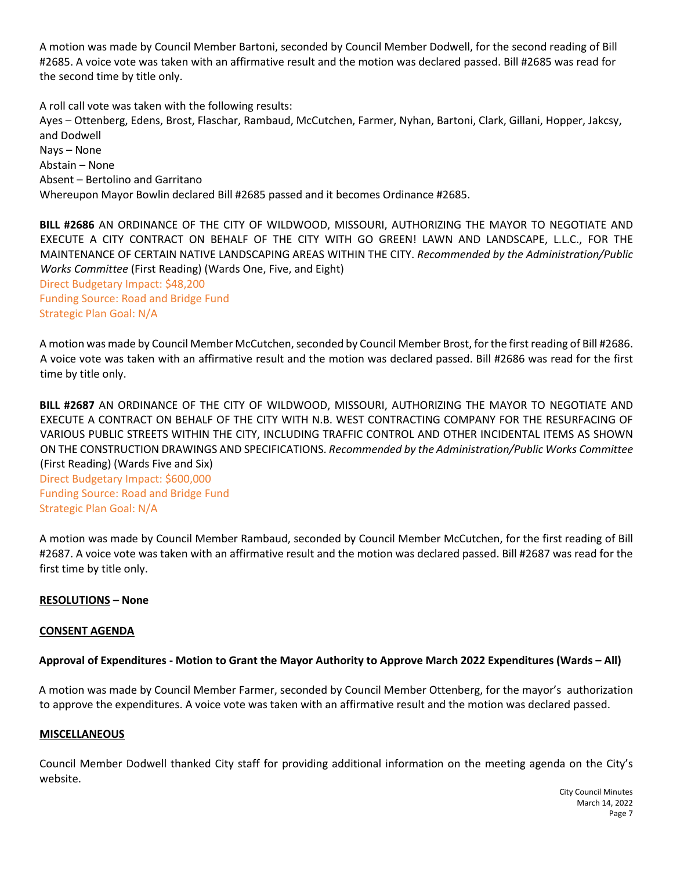A motion was made by Council Member Bartoni, seconded by Council Member Dodwell, for the second reading of Bill #2685. A voice vote was taken with an affirmative result and the motion was declared passed. Bill #2685 was read for the second time by title only.

A roll call vote was taken with the following results: Ayes – Ottenberg, Edens, Brost, Flaschar, Rambaud, McCutchen, Farmer, Nyhan, Bartoni, Clark, Gillani, Hopper, Jakcsy, and Dodwell Nays – None Abstain – None Absent – Bertolino and Garritano Whereupon Mayor Bowlin declared Bill #2685 passed and it becomes Ordinance #2685.

**BILL #2686** AN ORDINANCE OF THE CITY OF WILDWOOD, MISSOURI, AUTHORIZING THE MAYOR TO NEGOTIATE AND EXECUTE A CITY CONTRACT ON BEHALF OF THE CITY WITH GO GREEN! LAWN AND LANDSCAPE, L.L.C., FOR THE MAINTENANCE OF CERTAIN NATIVE LANDSCAPING AREAS WITHIN THE CITY. *Recommended by the Administration/Public Works Committee* (First Reading) (Wards One, Five, and Eight) Direct Budgetary Impact: \$48,200 Funding Source: Road and Bridge Fund Strategic Plan Goal: N/A

A motion was made by Council Member McCutchen, seconded by Council Member Brost, for the first reading of Bill #2686. A voice vote was taken with an affirmative result and the motion was declared passed. Bill #2686 was read for the first time by title only.

**BILL #2687** AN ORDINANCE OF THE CITY OF WILDWOOD, MISSOURI, AUTHORIZING THE MAYOR TO NEGOTIATE AND EXECUTE A CONTRACT ON BEHALF OF THE CITY WITH N.B. WEST CONTRACTING COMPANY FOR THE RESURFACING OF VARIOUS PUBLIC STREETS WITHIN THE CITY, INCLUDING TRAFFIC CONTROL AND OTHER INCIDENTAL ITEMS AS SHOWN ON THE CONSTRUCTION DRAWINGS AND SPECIFICATIONS. *Recommended by the Administration/Public Works Committee*  (First Reading) (Wards Five and Six) Direct Budgetary Impact: \$600,000 Funding Source: Road and Bridge Fund Strategic Plan Goal: N/A

A motion was made by Council Member Rambaud, seconded by Council Member McCutchen, for the first reading of Bill #2687. A voice vote was taken with an affirmative result and the motion was declared passed. Bill #2687 was read for the first time by title only.

## **RESOLUTIONS – None**

## **CONSENT AGENDA**

## **Approval of Expenditures - Motion to Grant the Mayor Authority to Approve March 2022 Expenditures (Wards – All)**

A motion was made by Council Member Farmer, seconded by Council Member Ottenberg, for the mayor's authorization to approve the expenditures. A voice vote was taken with an affirmative result and the motion was declared passed.

## **MISCELLANEOUS**

Council Member Dodwell thanked City staff for providing additional information on the meeting agenda on the City's website.